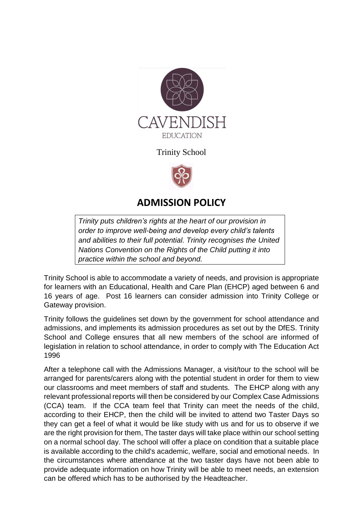

Trinity School



## **ADMISSION POLICY**

*Trinity puts [children's rights](http://www.unicef.org.uk/rights-respecting-schools/about-the-award/child-rights-in-schools/) at the heart of our provision in order to improve well-being and develop every child's talents and abilities to their full potential. Trinity recognises the [United](http://www.unicef.org.uk/UNICEFs-Work/UN-Convention/)  [Nations Convention on the Rights of the Child](http://www.unicef.org.uk/UNICEFs-Work/UN-Convention/) putting it into practice within the school and beyond.*

Trinity School is able to accommodate a variety of needs, and provision is appropriate for learners with an Educational, Health and Care Plan (EHCP) aged between 6 and 16 years of age. Post 16 learners can consider admission into Trinity College or Gateway provision.

Trinity follows the guidelines set down by the government for school attendance and admissions, and implements its admission procedures as set out by the DfES. Trinity School and College ensures that all new members of the school are informed of legislation in relation to school attendance, in order to comply with The Education Act 1996

After a telephone call with the Admissions Manager, a visit/tour to the school will be arranged for parents/carers along with the potential student in order for them to view our classrooms and meet members of staff and students. The EHCP along with any relevant professional reports will then be considered by our Complex Case Admissions (CCA) team. If the CCA team feel that Trinity can meet the needs of the child, according to their EHCP, then the child will be invited to attend two Taster Days so they can get a feel of what it would be like study with us and for us to observe if we are the right provision for them, The taster days will take place within our school setting on a normal school day. The school will offer a place on condition that a suitable place is available according to the child's academic, welfare, social and emotional needs. In the circumstances where attendance at the two taster days have not been able to provide adequate information on how Trinity will be able to meet needs, an extension can be offered which has to be authorised by the Headteacher.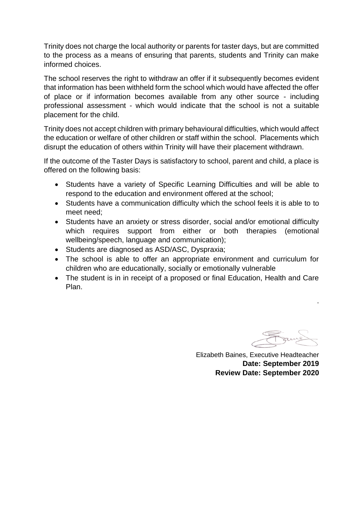Trinity does not charge the local authority or parents for taster days, but are committed to the process as a means of ensuring that parents, students and Trinity can make informed choices.

The school reserves the right to withdraw an offer if it subsequently becomes evident that information has been withheld form the school which would have affected the offer of place or if information becomes available from any other source - including professional assessment - which would indicate that the school is not a suitable placement for the child.

Trinity does not accept children with primary behavioural difficulties, which would affect the education or welfare of other children or staff within the school. Placements which disrupt the education of others within Trinity will have their placement withdrawn.

If the outcome of the Taster Days is satisfactory to school, parent and child, a place is offered on the following basis:

- Students have a variety of Specific Learning Difficulties and will be able to respond to the education and environment offered at the school;
- Students have a communication difficulty which the school feels it is able to to meet need;
- Students have an anxiety or stress disorder, social and/or emotional difficulty which requires support from either or both therapies (emotional wellbeing/speech, language and communication);
- Students are diagnosed as ASD/ASC, Dyspraxia;
- The school is able to offer an appropriate environment and curriculum for children who are educationally, socially or emotionally vulnerable
- The student is in in receipt of a proposed or final Education, Health and Care Plan.

.

Elizabeth Baines, Executive Headteacher **Date: September 2019 Review Date: September 2020**